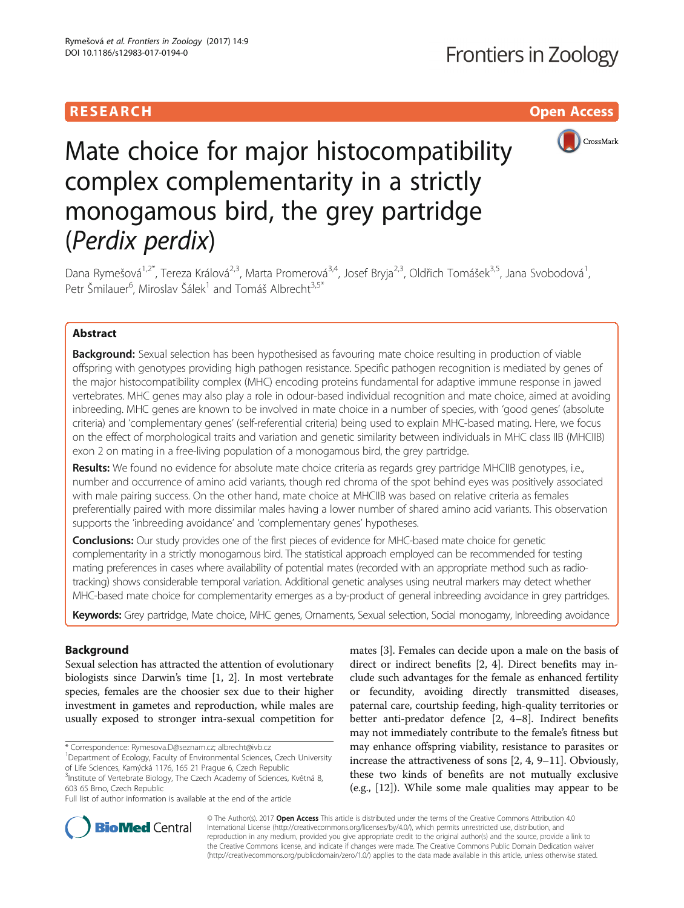# **RESEARCH CHILD CONTROL** CONTROL CONTROL CONTROL CONTROL CONTROL CONTROL CONTROL CONTROL CONTROL CONTROL CONTROL



# Mate choice for major histocompatibility complex complementarity in a strictly monogamous bird, the grey partridge (Perdix perdix)

Dana Rymešová<sup>1,2\*</sup>, Tereza Králová<sup>2,3</sup>, Marta Promerová<sup>3,4</sup>, Josef Bryja<sup>2,3</sup>, Oldřich Tomášek<sup>3,5</sup>, Jana Svobodová<sup>1</sup>, , Petr Šmilauer<sup>6</sup>, Miroslav Šálek<sup>1</sup> and Tomáš Albrecht<sup>3,5\*</sup>

# Abstract

**Background:** Sexual selection has been hypothesised as favouring mate choice resulting in production of viable offspring with genotypes providing high pathogen resistance. Specific pathogen recognition is mediated by genes of the major histocompatibility complex (MHC) encoding proteins fundamental for adaptive immune response in jawed vertebrates. MHC genes may also play a role in odour-based individual recognition and mate choice, aimed at avoiding inbreeding. MHC genes are known to be involved in mate choice in a number of species, with 'good genes' (absolute criteria) and 'complementary genes' (self-referential criteria) being used to explain MHC-based mating. Here, we focus on the effect of morphological traits and variation and genetic similarity between individuals in MHC class IIB (MHCIIB) exon 2 on mating in a free-living population of a monogamous bird, the grey partridge.

Results: We found no evidence for absolute mate choice criteria as regards grey partridge MHCIIB genotypes, i.e., number and occurrence of amino acid variants, though red chroma of the spot behind eyes was positively associated with male pairing success. On the other hand, mate choice at MHCIIB was based on relative criteria as females preferentially paired with more dissimilar males having a lower number of shared amino acid variants. This observation supports the 'inbreeding avoidance' and 'complementary genes' hypotheses.

**Conclusions:** Our study provides one of the first pieces of evidence for MHC-based mate choice for genetic complementarity in a strictly monogamous bird. The statistical approach employed can be recommended for testing mating preferences in cases where availability of potential mates (recorded with an appropriate method such as radiotracking) shows considerable temporal variation. Additional genetic analyses using neutral markers may detect whether MHC-based mate choice for complementarity emerges as a by-product of general inbreeding avoidance in grey partridges.

Keywords: Grey partridge, Mate choice, MHC genes, Ornaments, Sexual selection, Social monogamy, Inbreeding avoidance

# Background

Sexual selection has attracted the attention of evolutionary biologists since Darwin's time [[1](#page-8-0), [2\]](#page-8-0). In most vertebrate species, females are the choosier sex due to their higher investment in gametes and reproduction, while males are usually exposed to stronger intra-sexual competition for

\* Correspondence: [Rymesova.D@seznam.cz](mailto:Rymesova.D@seznam.cz); [albrecht@ivb.cz](mailto:albrecht@ivb.cz) <sup>1</sup>

<sup>1</sup>Department of Ecology, Faculty of Environmental Sciences, Czech University of Life Sciences, Kamýcká 1176, 165 21 Prague 6, Czech Republic

<sup>3</sup>Institute of Vertebrate Biology, The Czech Academy of Sciences, Květná 8, 603 65 Brno, Czech Republic

Full list of author information is available at the end of the article

mates [\[3\]](#page-8-0). Females can decide upon a male on the basis of direct or indirect benefits [\[2](#page-8-0), [4](#page-8-0)]. Direct benefits may include such advantages for the female as enhanced fertility or fecundity, avoiding directly transmitted diseases, paternal care, courtship feeding, high-quality territories or better anti-predator defence [\[2](#page-8-0), [4](#page-8-0)–[8\]](#page-8-0). Indirect benefits may not immediately contribute to the female's fitness but may enhance offspring viability, resistance to parasites or increase the attractiveness of sons [[2, 4, 9](#page-8-0)–[11](#page-8-0)]. Obviously, these two kinds of benefits are not mutually exclusive (e.g., [\[12\]](#page-8-0)). While some male qualities may appear to be



© The Author(s). 2017 **Open Access** This article is distributed under the terms of the Creative Commons Attribution 4.0 International License [\(http://creativecommons.org/licenses/by/4.0/](http://creativecommons.org/licenses/by/4.0/)), which permits unrestricted use, distribution, and reproduction in any medium, provided you give appropriate credit to the original author(s) and the source, provide a link to the Creative Commons license, and indicate if changes were made. The Creative Commons Public Domain Dedication waiver [\(http://creativecommons.org/publicdomain/zero/1.0/](http://creativecommons.org/publicdomain/zero/1.0/)) applies to the data made available in this article, unless otherwise stated.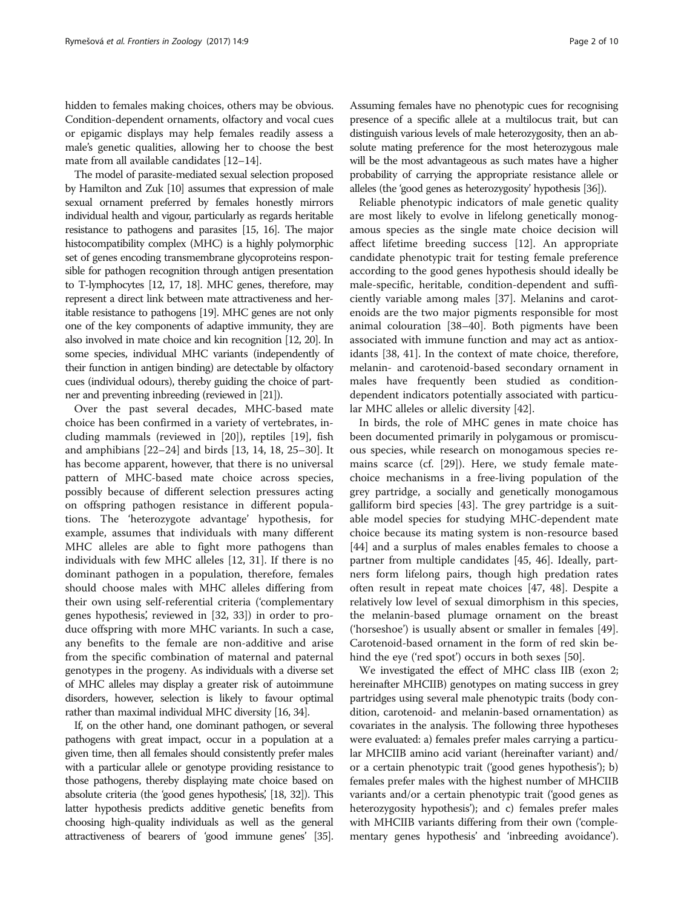hidden to females making choices, others may be obvious. Condition-dependent ornaments, olfactory and vocal cues or epigamic displays may help females readily assess a male's genetic qualities, allowing her to choose the best mate from all available candidates [[12](#page-8-0)–[14\]](#page-8-0).

The model of parasite-mediated sexual selection proposed by Hamilton and Zuk [\[10\]](#page-8-0) assumes that expression of male sexual ornament preferred by females honestly mirrors individual health and vigour, particularly as regards heritable resistance to pathogens and parasites [[15](#page-8-0), [16\]](#page-8-0). The major histocompatibility complex (MHC) is a highly polymorphic set of genes encoding transmembrane glycoproteins responsible for pathogen recognition through antigen presentation to T-lymphocytes [\[12, 17](#page-8-0), [18](#page-8-0)]. MHC genes, therefore, may represent a direct link between mate attractiveness and heritable resistance to pathogens [\[19\]](#page-8-0). MHC genes are not only one of the key components of adaptive immunity, they are also involved in mate choice and kin recognition [\[12](#page-8-0), [20](#page-8-0)]. In some species, individual MHC variants (independently of their function in antigen binding) are detectable by olfactory cues (individual odours), thereby guiding the choice of partner and preventing inbreeding (reviewed in [\[21](#page-8-0)]).

Over the past several decades, MHC-based mate choice has been confirmed in a variety of vertebrates, including mammals (reviewed in [[20](#page-8-0)]), reptiles [\[19\]](#page-8-0), fish and amphibians [\[22](#page-8-0)–[24\]](#page-8-0) and birds [[13, 14, 18, 25](#page-8-0)–[30\]](#page-8-0). It has become apparent, however, that there is no universal pattern of MHC-based mate choice across species, possibly because of different selection pressures acting on offspring pathogen resistance in different populations. The 'heterozygote advantage' hypothesis, for example, assumes that individuals with many different MHC alleles are able to fight more pathogens than individuals with few MHC alleles [[12, 31](#page-8-0)]. If there is no dominant pathogen in a population, therefore, females should choose males with MHC alleles differing from their own using self-referential criteria ('complementary genes hypothesis', reviewed in [\[32](#page-8-0), [33\]](#page-8-0)) in order to produce offspring with more MHC variants. In such a case, any benefits to the female are non-additive and arise from the specific combination of maternal and paternal genotypes in the progeny. As individuals with a diverse set of MHC alleles may display a greater risk of autoimmune disorders, however, selection is likely to favour optimal rather than maximal individual MHC diversity [[16, 34\]](#page-8-0).

If, on the other hand, one dominant pathogen, or several pathogens with great impact, occur in a population at a given time, then all females should consistently prefer males with a particular allele or genotype providing resistance to those pathogens, thereby displaying mate choice based on absolute criteria (the 'good genes hypothesis, [\[18](#page-8-0), [32](#page-8-0)]). This ' latter hypothesis predicts additive genetic benefits from choosing high-quality individuals as well as the general attractiveness of bearers of 'good immune genes' [\[35](#page-8-0)].

Assuming females have no phenotypic cues for recognising presence of a specific allele at a multilocus trait, but can distinguish various levels of male heterozygosity, then an absolute mating preference for the most heterozygous male will be the most advantageous as such mates have a higher probability of carrying the appropriate resistance allele or alleles (the 'good genes as heterozygosity' hypothesis [\[36](#page-8-0)]).

Reliable phenotypic indicators of male genetic quality are most likely to evolve in lifelong genetically monogamous species as the single mate choice decision will affect lifetime breeding success [\[12](#page-8-0)]. An appropriate candidate phenotypic trait for testing female preference according to the good genes hypothesis should ideally be male-specific, heritable, condition-dependent and sufficiently variable among males [\[37\]](#page-8-0). Melanins and carotenoids are the two major pigments responsible for most animal colouration [\[38](#page-8-0)–[40\]](#page-8-0). Both pigments have been associated with immune function and may act as antioxidants [[38, 41](#page-8-0)]. In the context of mate choice, therefore, melanin- and carotenoid-based secondary ornament in males have frequently been studied as conditiondependent indicators potentially associated with particular MHC alleles or allelic diversity [[42](#page-8-0)].

In birds, the role of MHC genes in mate choice has been documented primarily in polygamous or promiscuous species, while research on monogamous species remains scarce (cf. [[29](#page-8-0)]). Here, we study female matechoice mechanisms in a free-living population of the grey partridge, a socially and genetically monogamous galliform bird species [\[43\]](#page-8-0). The grey partridge is a suitable model species for studying MHC-dependent mate choice because its mating system is non-resource based [[44\]](#page-8-0) and a surplus of males enables females to choose a partner from multiple candidates [[45, 46\]](#page-8-0). Ideally, partners form lifelong pairs, though high predation rates often result in repeat mate choices [[47](#page-8-0), [48](#page-8-0)]. Despite a relatively low level of sexual dimorphism in this species, the melanin-based plumage ornament on the breast ('horseshoe') is usually absent or smaller in females [\[49](#page-8-0)]. Carotenoid-based ornament in the form of red skin behind the eye ('red spot') occurs in both sexes [\[50](#page-8-0)].

We investigated the effect of MHC class IIB (exon 2; hereinafter MHCIIB) genotypes on mating success in grey partridges using several male phenotypic traits (body condition, carotenoid- and melanin-based ornamentation) as covariates in the analysis. The following three hypotheses were evaluated: a) females prefer males carrying a particular MHCIIB amino acid variant (hereinafter variant) and/ or a certain phenotypic trait ('good genes hypothesis'); b) females prefer males with the highest number of MHCIIB variants and/or a certain phenotypic trait ('good genes as heterozygosity hypothesis'); and c) females prefer males with MHCIIB variants differing from their own ('complementary genes hypothesis' and 'inbreeding avoidance').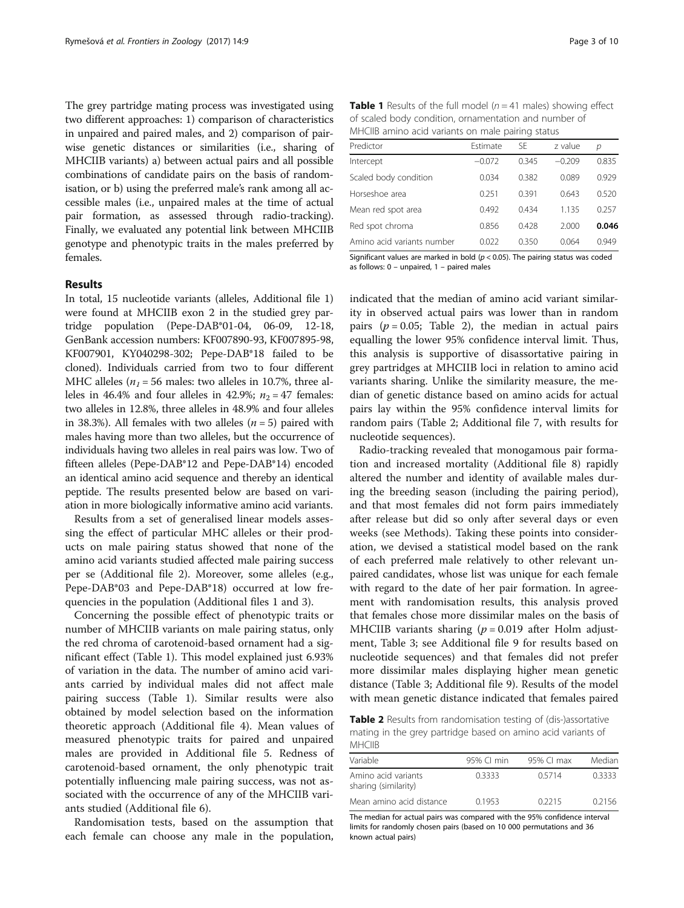The grey partridge mating process was investigated using two different approaches: 1) comparison of characteristics in unpaired and paired males, and 2) comparison of pairwise genetic distances or similarities (i.e., sharing of MHCIIB variants) a) between actual pairs and all possible combinations of candidate pairs on the basis of randomisation, or b) using the preferred male's rank among all accessible males (i.e., unpaired males at the time of actual pair formation, as assessed through radio-tracking). Finally, we evaluated any potential link between MHCIIB genotype and phenotypic traits in the males preferred by females.

# Results

In total, 15 nucleotide variants (alleles, Additional file [1](#page-7-0)) were found at MHCIIB exon 2 in the studied grey partridge population (Pepe-DAB\*01-04, 06-09, 12-18, GenBank accession numbers: KF007890-93, KF007895-98, KF007901, KY040298-302; Pepe-DAB\*18 failed to be cloned). Individuals carried from two to four different MHC alleles ( $n_1$  = 56 males: two alleles in 10.7%, three alleles in 46.4% and four alleles in 42.9%;  $n_2 = 47$  females: two alleles in 12.8%, three alleles in 48.9% and four alleles in 38.3%). All females with two alleles  $(n = 5)$  paired with males having more than two alleles, but the occurrence of individuals having two alleles in real pairs was low. Two of fifteen alleles (Pepe‑DAB\*12 and Pepe‑DAB\*14) encoded an identical amino acid sequence and thereby an identical peptide. The results presented below are based on variation in more biologically informative amino acid variants.

Results from a set of generalised linear models assessing the effect of particular MHC alleles or their products on male pairing status showed that none of the amino acid variants studied affected male pairing success per se (Additional file [2](#page-7-0)). Moreover, some alleles (e.g., Pepe-DAB\*03 and Pepe-DAB\*18) occurred at low frequencies in the population (Additional files [1](#page-7-0) and [3\)](#page-7-0).

Concerning the possible effect of phenotypic traits or number of MHCIIB variants on male pairing status, only the red chroma of carotenoid-based ornament had a significant effect (Table 1). This model explained just 6.93% of variation in the data. The number of amino acid variants carried by individual males did not affect male pairing success (Table 1). Similar results were also obtained by model selection based on the information theoretic approach (Additional file [4](#page-7-0)). Mean values of measured phenotypic traits for paired and unpaired males are provided in Additional file [5.](#page-7-0) Redness of carotenoid-based ornament, the only phenotypic trait potentially influencing male pairing success, was not associated with the occurrence of any of the MHCIIB variants studied (Additional file [6\)](#page-7-0).

Randomisation tests, based on the assumption that each female can choose any male in the population,

| <b>Table 1</b> Results of the full model ( $n = 41$ males) showing effect |
|---------------------------------------------------------------------------|
| of scaled body condition, ornamentation and number of                     |
| MHCIIB amino acid variants on male pairing status                         |

| Predictor                  | Estimate | SE    | z value  | D     |
|----------------------------|----------|-------|----------|-------|
| Intercept                  | $-0.072$ | 0.345 | $-0.209$ | 0.835 |
| Scaled body condition      | 0.034    | 0.382 | 0.089    | 0.929 |
| Horseshoe area             | 0.251    | 0.391 | 0.643    | 0.520 |
| Mean red spot area         | 0.492    | 0.434 | 1.135    | 0.257 |
| Red spot chroma            | 0.856    | 0.428 | 2.000    | 0.046 |
| Amino acid variants number | 0.022    | 0.350 | 0.064    | 0.949 |

Significant values are marked in bold ( $p < 0.05$ ). The pairing status was coded as follows: 0 – unpaired, 1 – paired males

indicated that the median of amino acid variant similarity in observed actual pairs was lower than in random pairs ( $p = 0.05$ ; Table 2), the median in actual pairs equalling the lower 95% confidence interval limit. Thus, this analysis is supportive of disassortative pairing in grey partridges at MHCIIB loci in relation to amino acid variants sharing. Unlike the similarity measure, the median of genetic distance based on amino acids for actual pairs lay within the 95% confidence interval limits for random pairs (Table 2; Additional file [7,](#page-7-0) with results for nucleotide sequences).

Radio-tracking revealed that monogamous pair formation and increased mortality (Additional file [8\)](#page-7-0) rapidly altered the number and identity of available males during the breeding season (including the pairing period), and that most females did not form pairs immediately after release but did so only after several days or even weeks (see [Methods\)](#page-4-0). Taking these points into consideration, we devised a statistical model based on the rank of each preferred male relatively to other relevant unpaired candidates, whose list was unique for each female with regard to the date of her pair formation. In agreement with randomisation results, this analysis proved that females chose more dissimilar males on the basis of MHCIIB variants sharing  $(p = 0.019)$  after Holm adjustment, Table [3;](#page-3-0) see Additional file [9](#page-7-0) for results based on nucleotide sequences) and that females did not prefer more dissimilar males displaying higher mean genetic distance (Table [3](#page-3-0); Additional file [9\)](#page-7-0). Results of the model with mean genetic distance indicated that females paired

Table 2 Results from randomisation testing of (dis-)assortative mating in the grey partridge based on amino acid variants of MHCIIB

| Variable                                    | 95% CI min | 95% CL max | Median |
|---------------------------------------------|------------|------------|--------|
| Amino acid variants<br>sharing (similarity) | 0.3333     | 05714      | 0.3333 |
| Mean amino acid distance                    | 0.1953     | 02215      | 02156  |

The median for actual pairs was compared with the 95% confidence interval limits for randomly chosen pairs (based on 10 000 permutations and 36 known actual pairs)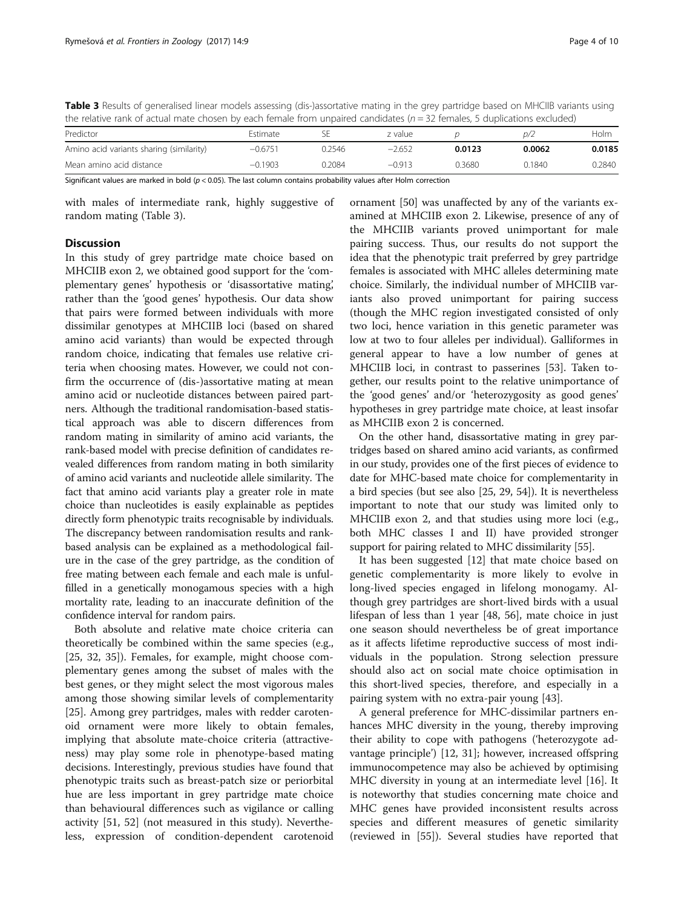<span id="page-3-0"></span>Table 3 Results of generalised linear models assessing (dis-)assortative mating in the grey partridge based on MHCIIB variants using the relative rank of actual mate chosen by each female from unpaired candidates ( $n = 32$  females, 5 duplications excluded)

| Predictor                                | Estimate  |        | z value  |        | $D/\angle$ | Holm   |
|------------------------------------------|-----------|--------|----------|--------|------------|--------|
| Amino acid variants sharing (similarity) | $-0.6751$ | 0.2546 | $-2.652$ | 0.0123 | 0.0062     | 0.0185 |
| Mean amino acid distance                 | $-0.1903$ | 0.2084 | $-0.913$ | 0.3680 | 0.1840     | 0.2840 |

Significant values are marked in bold ( $p < 0.05$ ). The last column contains probability values after Holm correction

with males of intermediate rank, highly suggestive of random mating (Table 3).

# **Discussion**

In this study of grey partridge mate choice based on MHCIIB exon 2, we obtained good support for the 'complementary genes' hypothesis or 'disassortative mating', rather than the 'good genes' hypothesis. Our data show that pairs were formed between individuals with more dissimilar genotypes at MHCIIB loci (based on shared amino acid variants) than would be expected through random choice, indicating that females use relative criteria when choosing mates. However, we could not confirm the occurrence of (dis-)assortative mating at mean amino acid or nucleotide distances between paired partners. Although the traditional randomisation-based statistical approach was able to discern differences from random mating in similarity of amino acid variants, the rank-based model with precise definition of candidates revealed differences from random mating in both similarity of amino acid variants and nucleotide allele similarity. The fact that amino acid variants play a greater role in mate choice than nucleotides is easily explainable as peptides directly form phenotypic traits recognisable by individuals. The discrepancy between randomisation results and rankbased analysis can be explained as a methodological failure in the case of the grey partridge, as the condition of free mating between each female and each male is unfulfilled in a genetically monogamous species with a high mortality rate, leading to an inaccurate definition of the confidence interval for random pairs.

Both absolute and relative mate choice criteria can theoretically be combined within the same species (e.g., [[25, 32, 35\]](#page-8-0)). Females, for example, might choose complementary genes among the subset of males with the best genes, or they might select the most vigorous males among those showing similar levels of complementarity [[25\]](#page-8-0). Among grey partridges, males with redder carotenoid ornament were more likely to obtain females, implying that absolute mate-choice criteria (attractiveness) may play some role in phenotype-based mating decisions. Interestingly, previous studies have found that phenotypic traits such as breast-patch size or periorbital hue are less important in grey partridge mate choice than behavioural differences such as vigilance or calling activity [[51, 52](#page-8-0)] (not measured in this study). Nevertheless, expression of condition-dependent carotenoid

ornament [\[50\]](#page-8-0) was unaffected by any of the variants examined at MHCIIB exon 2. Likewise, presence of any of the MHCIIB variants proved unimportant for male pairing success. Thus, our results do not support the idea that the phenotypic trait preferred by grey partridge females is associated with MHC alleles determining mate choice. Similarly, the individual number of MHCIIB variants also proved unimportant for pairing success (though the MHC region investigated consisted of only two loci, hence variation in this genetic parameter was low at two to four alleles per individual). Galliformes in general appear to have a low number of genes at MHCIIB loci, in contrast to passerines [[53\]](#page-8-0). Taken together, our results point to the relative unimportance of the 'good genes' and/or 'heterozygosity as good genes' hypotheses in grey partridge mate choice, at least insofar as MHCIIB exon 2 is concerned.

On the other hand, disassortative mating in grey partridges based on shared amino acid variants, as confirmed in our study, provides one of the first pieces of evidence to date for MHC-based mate choice for complementarity in a bird species (but see also [\[25, 29](#page-8-0), [54](#page-8-0)]). It is nevertheless important to note that our study was limited only to MHCIIB exon 2, and that studies using more loci (e.g., both MHC classes I and II) have provided stronger support for pairing related to MHC dissimilarity [\[55\]](#page-8-0).

It has been suggested [\[12](#page-8-0)] that mate choice based on genetic complementarity is more likely to evolve in long-lived species engaged in lifelong monogamy. Although grey partridges are short-lived birds with a usual lifespan of less than 1 year [[48, 56](#page-8-0)], mate choice in just one season should nevertheless be of great importance as it affects lifetime reproductive success of most individuals in the population. Strong selection pressure should also act on social mate choice optimisation in this short-lived species, therefore, and especially in a pairing system with no extra-pair young [\[43\]](#page-8-0).

A general preference for MHC-dissimilar partners enhances MHC diversity in the young, thereby improving their ability to cope with pathogens ('heterozygote advantage principle') [\[12, 31](#page-8-0)]; however, increased offspring immunocompetence may also be achieved by optimising MHC diversity in young at an intermediate level [[16](#page-8-0)]. It is noteworthy that studies concerning mate choice and MHC genes have provided inconsistent results across species and different measures of genetic similarity (reviewed in [\[55\]](#page-8-0)). Several studies have reported that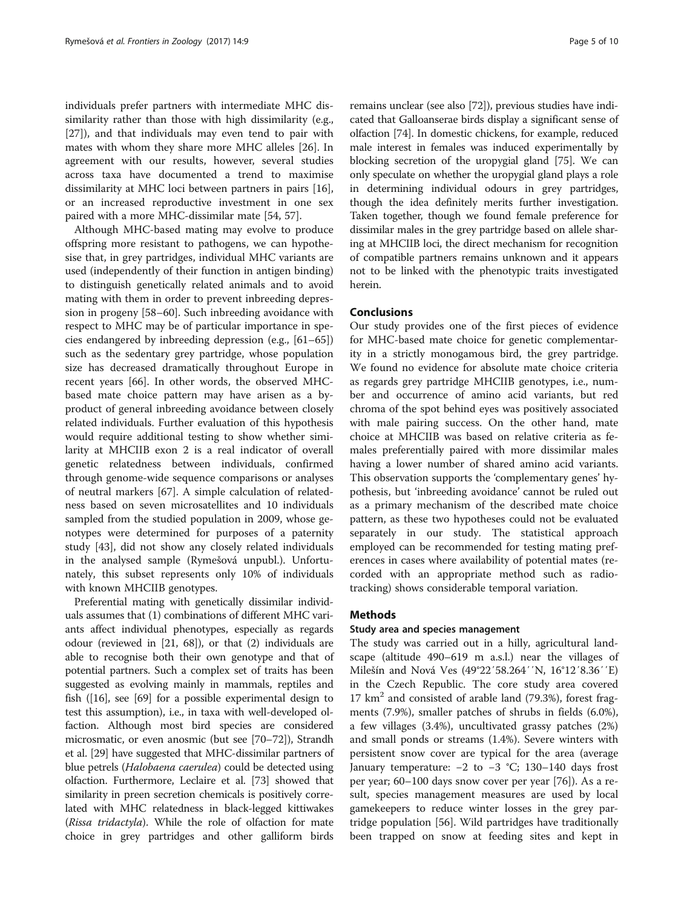<span id="page-4-0"></span>individuals prefer partners with intermediate MHC dissimilarity rather than those with high dissimilarity (e.g., [[27\]](#page-8-0)), and that individuals may even tend to pair with mates with whom they share more MHC alleles [\[26](#page-8-0)]. In agreement with our results, however, several studies across taxa have documented a trend to maximise dissimilarity at MHC loci between partners in pairs [\[16](#page-8-0)], or an increased reproductive investment in one sex paired with a more MHC-dissimilar mate [[54, 57\]](#page-8-0).

Although MHC-based mating may evolve to produce offspring more resistant to pathogens, we can hypothesise that, in grey partridges, individual MHC variants are used (independently of their function in antigen binding) to distinguish genetically related animals and to avoid mating with them in order to prevent inbreeding depression in progeny [\[58](#page-8-0)–[60\]](#page-9-0). Such inbreeding avoidance with respect to MHC may be of particular importance in species endangered by inbreeding depression (e.g., [[61](#page-9-0)–[65](#page-9-0)]) such as the sedentary grey partridge, whose population size has decreased dramatically throughout Europe in recent years [\[66\]](#page-9-0). In other words, the observed MHCbased mate choice pattern may have arisen as a byproduct of general inbreeding avoidance between closely related individuals. Further evaluation of this hypothesis would require additional testing to show whether similarity at MHCIIB exon 2 is a real indicator of overall genetic relatedness between individuals, confirmed through genome-wide sequence comparisons or analyses of neutral markers [\[67](#page-9-0)]. A simple calculation of relatedness based on seven microsatellites and 10 individuals sampled from the studied population in 2009, whose genotypes were determined for purposes of a paternity study [[43\]](#page-8-0), did not show any closely related individuals in the analysed sample (Rymešová unpubl.). Unfortunately, this subset represents only 10% of individuals with known MHCIIB genotypes.

Preferential mating with genetically dissimilar individuals assumes that (1) combinations of different MHC variants affect individual phenotypes, especially as regards odour (reviewed in [\[21](#page-8-0), [68](#page-9-0)]), or that (2) individuals are able to recognise both their own genotype and that of potential partners. Such a complex set of traits has been suggested as evolving mainly in mammals, reptiles and fish ([\[16\]](#page-8-0), see [[69](#page-9-0)] for a possible experimental design to test this assumption), i.e., in taxa with well-developed olfaction. Although most bird species are considered microsmatic, or even anosmic (but see [\[70](#page-9-0)–[72](#page-9-0)]), Strandh et al. [[29\]](#page-8-0) have suggested that MHC-dissimilar partners of blue petrels (Halobaena caerulea) could be detected using olfaction. Furthermore, Leclaire et al. [\[73\]](#page-9-0) showed that similarity in preen secretion chemicals is positively correlated with MHC relatedness in black-legged kittiwakes (Rissa tridactyla). While the role of olfaction for mate choice in grey partridges and other galliform birds

remains unclear (see also [\[72\]](#page-9-0)), previous studies have indicated that Galloanserae birds display a significant sense of olfaction [[74](#page-9-0)]. In domestic chickens, for example, reduced male interest in females was induced experimentally by blocking secretion of the uropygial gland [\[75\]](#page-9-0). We can only speculate on whether the uropygial gland plays a role in determining individual odours in grey partridges, though the idea definitely merits further investigation. Taken together, though we found female preference for dissimilar males in the grey partridge based on allele sharing at MHCIIB loci, the direct mechanism for recognition of compatible partners remains unknown and it appears not to be linked with the phenotypic traits investigated herein.

# Conclusions

Our study provides one of the first pieces of evidence for MHC-based mate choice for genetic complementarity in a strictly monogamous bird, the grey partridge. We found no evidence for absolute mate choice criteria as regards grey partridge MHCIIB genotypes, i.e., number and occurrence of amino acid variants, but red chroma of the spot behind eyes was positively associated with male pairing success. On the other hand, mate choice at MHCIIB was based on relative criteria as females preferentially paired with more dissimilar males having a lower number of shared amino acid variants. This observation supports the 'complementary genes' hypothesis, but 'inbreeding avoidance' cannot be ruled out as a primary mechanism of the described mate choice pattern, as these two hypotheses could not be evaluated separately in our study. The statistical approach employed can be recommended for testing mating preferences in cases where availability of potential mates (recorded with an appropriate method such as radiotracking) shows considerable temporal variation.

# **Methods**

# Study area and species management

The study was carried out in a hilly, agricultural landscape (altitude 490–619 m a.s.l.) near the villages of Milešín and Nová Ves (49°22′58.264′′N, 16°12′8.36′′E) in the Czech Republic. The core study area covered  $17 \text{ km}^2$  and consisted of arable land (79.3%), forest fragments (7.9%), smaller patches of shrubs in fields (6.0%), a few villages (3.4%), uncultivated grassy patches (2%) and small ponds or streams (1.4%). Severe winters with persistent snow cover are typical for the area (average January temperature: −2 to −3 °C; 130–140 days frost per year; 60–100 days snow cover per year [[76\]](#page-9-0)). As a result, species management measures are used by local gamekeepers to reduce winter losses in the grey partridge population [\[56\]](#page-8-0). Wild partridges have traditionally been trapped on snow at feeding sites and kept in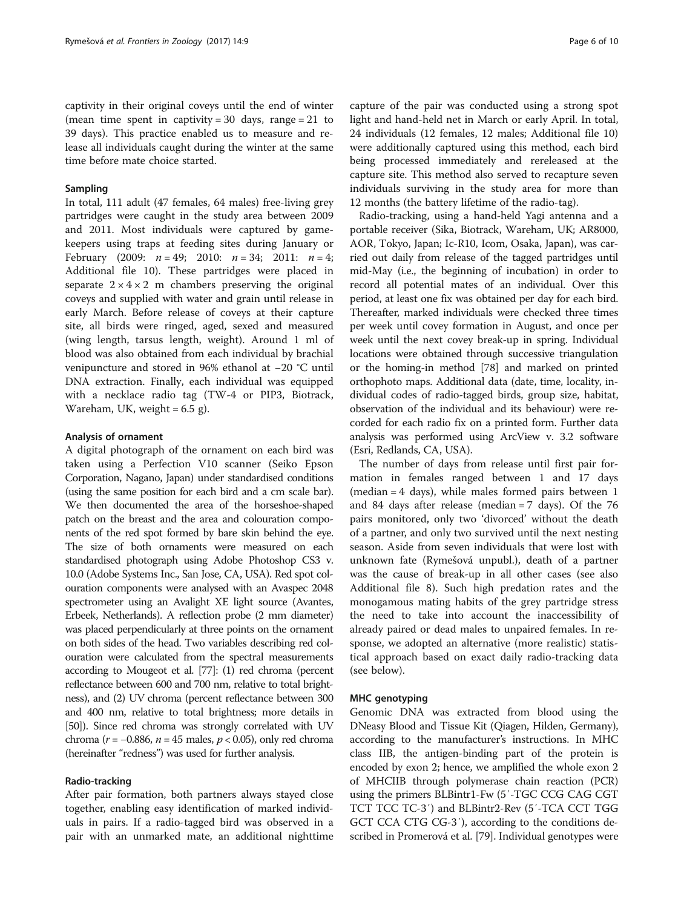captivity in their original coveys until the end of winter (mean time spent in captivity = 30 days, range =  $21$  to 39 days). This practice enabled us to measure and release all individuals caught during the winter at the same time before mate choice started.

# Sampling

In total, 111 adult (47 females, 64 males) free-living grey partridges were caught in the study area between 2009 and 2011. Most individuals were captured by gamekeepers using traps at feeding sites during January or February (2009:  $n = 49$ ; 2010:  $n = 34$ ; 2011:  $n = 4$ ; Additional file [10\)](#page-7-0). These partridges were placed in separate  $2 \times 4 \times 2$  m chambers preserving the original coveys and supplied with water and grain until release in early March. Before release of coveys at their capture site, all birds were ringed, aged, sexed and measured (wing length, tarsus length, weight). Around 1 ml of blood was also obtained from each individual by brachial venipuncture and stored in 96% ethanol at −20 °C until DNA extraction. Finally, each individual was equipped with a necklace radio tag (TW-4 or PIP3, Biotrack, Wareham, UK, weight =  $6.5$  g).

# Analysis of ornament

A digital photograph of the ornament on each bird was taken using a Perfection V10 scanner (Seiko Epson Corporation, Nagano, Japan) under standardised conditions (using the same position for each bird and a cm scale bar). We then documented the area of the horseshoe-shaped patch on the breast and the area and colouration components of the red spot formed by bare skin behind the eye. The size of both ornaments were measured on each standardised photograph using Adobe Photoshop CS3 v. 10.0 (Adobe Systems Inc., San Jose, CA, USA). Red spot colouration components were analysed with an Avaspec 2048 spectrometer using an Avalight XE light source (Avantes, Erbeek, Netherlands). A reflection probe (2 mm diameter) was placed perpendicularly at three points on the ornament on both sides of the head. Two variables describing red colouration were calculated from the spectral measurements according to Mougeot et al. [[77\]](#page-9-0): (1) red chroma (percent reflectance between 600 and 700 nm, relative to total brightness), and (2) UV chroma (percent reflectance between 300 and 400 nm, relative to total brightness; more details in [[50\]](#page-8-0)). Since red chroma was strongly correlated with UV chroma ( $r = -0.886$ ,  $n = 45$  males,  $p < 0.05$ ), only red chroma (hereinafter "redness") was used for further analysis.

# Radio-tracking

After pair formation, both partners always stayed close together, enabling easy identification of marked individuals in pairs. If a radio-tagged bird was observed in a pair with an unmarked mate, an additional nighttime

capture of the pair was conducted using a strong spot light and hand-held net in March or early April. In total, 24 individuals (12 females, 12 males; Additional file [10](#page-7-0)) were additionally captured using this method, each bird being processed immediately and rereleased at the capture site. This method also served to recapture seven individuals surviving in the study area for more than 12 months (the battery lifetime of the radio-tag).

Radio-tracking, using a hand-held Yagi antenna and a portable receiver (Sika, Biotrack, Wareham, UK; AR8000, AOR, Tokyo, Japan; Ic-R10, Icom, Osaka, Japan), was carried out daily from release of the tagged partridges until mid-May (i.e., the beginning of incubation) in order to record all potential mates of an individual. Over this period, at least one fix was obtained per day for each bird. Thereafter, marked individuals were checked three times per week until covey formation in August, and once per week until the next covey break-up in spring. Individual locations were obtained through successive triangulation or the homing-in method [[78](#page-9-0)] and marked on printed orthophoto maps. Additional data (date, time, locality, individual codes of radio-tagged birds, group size, habitat, observation of the individual and its behaviour) were recorded for each radio fix on a printed form. Further data analysis was performed using ArcView v. 3.2 software (Esri, Redlands, CA, USA).

The number of days from release until first pair formation in females ranged between 1 and 17 days (median = 4 days), while males formed pairs between 1 and 84 days after release (median = 7 days). Of the 76 pairs monitored, only two 'divorced' without the death of a partner, and only two survived until the next nesting season. Aside from seven individuals that were lost with unknown fate (Rymešová unpubl.), death of a partner was the cause of break-up in all other cases (see also Additional file [8](#page-7-0)). Such high predation rates and the monogamous mating habits of the grey partridge stress the need to take into account the inaccessibility of already paired or dead males to unpaired females. In response, we adopted an alternative (more realistic) statistical approach based on exact daily radio-tracking data (see below).

## MHC genotyping

Genomic DNA was extracted from blood using the DNeasy Blood and Tissue Kit (Qiagen, Hilden, Germany), according to the manufacturer's instructions. In MHC class IIB, the antigen-binding part of the protein is encoded by exon 2; hence, we amplified the whole exon 2 of MHCIIB through polymerase chain reaction (PCR) using the primers BLBintr1-Fw (5′-TGC CCG CAG CGT TCT TCC TC-3′) and BLBintr2-Rev (5′-TCA CCT TGG GCT CCA CTG CG-3′), according to the conditions described in Promerová et al. [\[79\]](#page-9-0). Individual genotypes were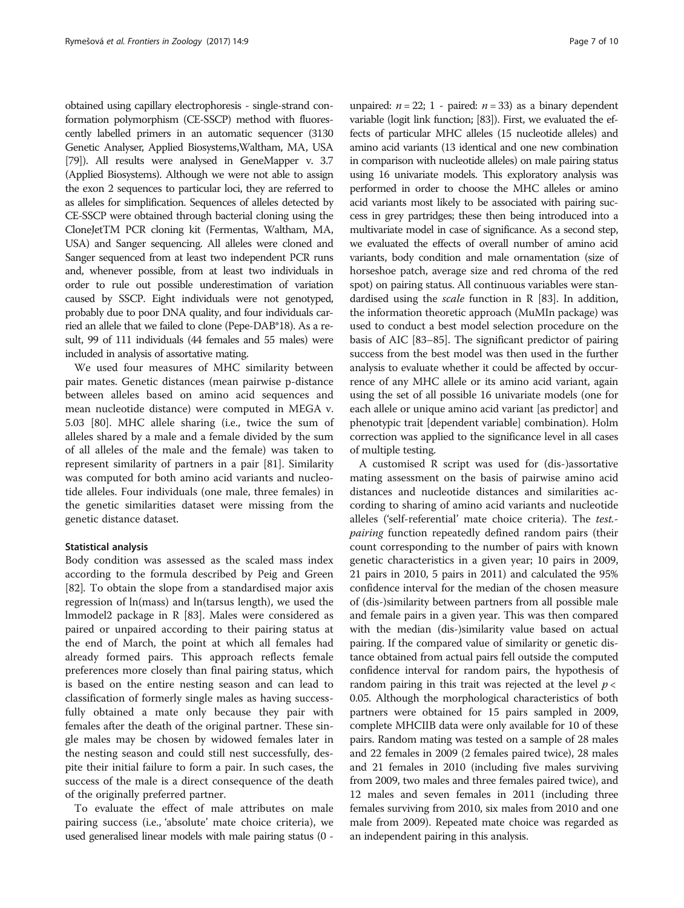obtained using capillary electrophoresis - single-strand conformation polymorphism (CE-SSCP) method with fluorescently labelled primers in an automatic sequencer (3130 Genetic Analyser, Applied Biosystems,Waltham, MA, USA [[79\]](#page-9-0)). All results were analysed in GeneMapper v. 3.7 (Applied Biosystems). Although we were not able to assign the exon 2 sequences to particular loci, they are referred to as alleles for simplification. Sequences of alleles detected by CE-SSCP were obtained through bacterial cloning using the CloneJetTM PCR cloning kit (Fermentas, Waltham, MA, USA) and Sanger sequencing. All alleles were cloned and Sanger sequenced from at least two independent PCR runs and, whenever possible, from at least two individuals in order to rule out possible underestimation of variation caused by SSCP. Eight individuals were not genotyped, probably due to poor DNA quality, and four individuals carried an allele that we failed to clone (Pepe-DAB\*18). As a result, 99 of 111 individuals (44 females and 55 males) were included in analysis of assortative mating.

We used four measures of MHC similarity between pair mates. Genetic distances (mean pairwise p-distance between alleles based on amino acid sequences and mean nucleotide distance) were computed in MEGA v. 5.03 [\[80\]](#page-9-0). MHC allele sharing (i.e., twice the sum of alleles shared by a male and a female divided by the sum of all alleles of the male and the female) was taken to represent similarity of partners in a pair [[81](#page-9-0)]. Similarity was computed for both amino acid variants and nucleotide alleles. Four individuals (one male, three females) in the genetic similarities dataset were missing from the genetic distance dataset.

## Statistical analysis

Body condition was assessed as the scaled mass index according to the formula described by Peig and Green [[82\]](#page-9-0). To obtain the slope from a standardised major axis regression of ln(mass) and ln(tarsus length), we used the lmmodel2 package in R [\[83](#page-9-0)]. Males were considered as paired or unpaired according to their pairing status at the end of March, the point at which all females had already formed pairs. This approach reflects female preferences more closely than final pairing status, which is based on the entire nesting season and can lead to classification of formerly single males as having successfully obtained a mate only because they pair with females after the death of the original partner. These single males may be chosen by widowed females later in the nesting season and could still nest successfully, despite their initial failure to form a pair. In such cases, the success of the male is a direct consequence of the death of the originally preferred partner.

To evaluate the effect of male attributes on male pairing success (i.e., 'absolute' mate choice criteria), we used generalised linear models with male pairing status (0 -

unpaired:  $n = 22$ ; 1 - paired:  $n = 33$ ) as a binary dependent variable (logit link function; [\[83](#page-9-0)]). First, we evaluated the effects of particular MHC alleles (15 nucleotide alleles) and amino acid variants (13 identical and one new combination in comparison with nucleotide alleles) on male pairing status using 16 univariate models. This exploratory analysis was performed in order to choose the MHC alleles or amino acid variants most likely to be associated with pairing success in grey partridges; these then being introduced into a multivariate model in case of significance. As a second step, we evaluated the effects of overall number of amino acid variants, body condition and male ornamentation (size of horseshoe patch, average size and red chroma of the red spot) on pairing status. All continuous variables were standardised using the scale function in R [[83](#page-9-0)]. In addition, the information theoretic approach (MuMIn package) was used to conduct a best model selection procedure on the basis of AIC [[83](#page-9-0)–[85\]](#page-9-0). The significant predictor of pairing success from the best model was then used in the further analysis to evaluate whether it could be affected by occurrence of any MHC allele or its amino acid variant, again using the set of all possible 16 univariate models (one for each allele or unique amino acid variant [as predictor] and phenotypic trait [dependent variable] combination). Holm correction was applied to the significance level in all cases of multiple testing.

A customised R script was used for (dis-)assortative mating assessment on the basis of pairwise amino acid distances and nucleotide distances and similarities according to sharing of amino acid variants and nucleotide alleles ('self-referential' mate choice criteria). The test. pairing function repeatedly defined random pairs (their count corresponding to the number of pairs with known genetic characteristics in a given year; 10 pairs in 2009, 21 pairs in 2010, 5 pairs in 2011) and calculated the 95% confidence interval for the median of the chosen measure of (dis-)similarity between partners from all possible male and female pairs in a given year. This was then compared with the median (dis-)similarity value based on actual pairing. If the compared value of similarity or genetic distance obtained from actual pairs fell outside the computed confidence interval for random pairs, the hypothesis of random pairing in this trait was rejected at the level  $p <$ 0.05. Although the morphological characteristics of both partners were obtained for 15 pairs sampled in 2009, complete MHCIIB data were only available for 10 of these pairs. Random mating was tested on a sample of 28 males and 22 females in 2009 (2 females paired twice), 28 males and 21 females in 2010 (including five males surviving from 2009, two males and three females paired twice), and 12 males and seven females in 2011 (including three females surviving from 2010, six males from 2010 and one male from 2009). Repeated mate choice was regarded as an independent pairing in this analysis.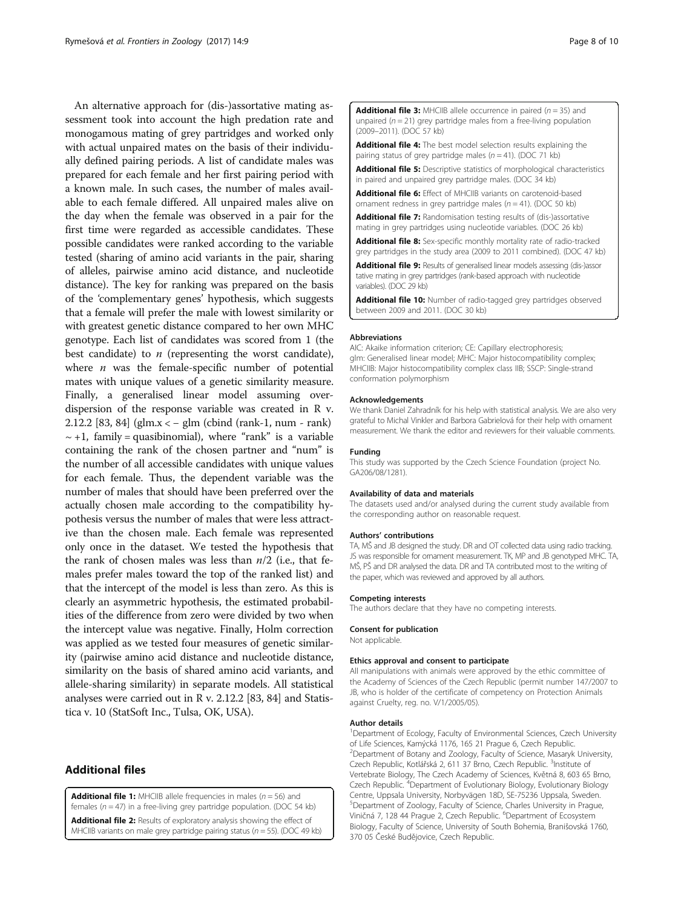<span id="page-7-0"></span>An alternative approach for (dis-)assortative mating assessment took into account the high predation rate and monogamous mating of grey partridges and worked only with actual unpaired mates on the basis of their individually defined pairing periods. A list of candidate males was prepared for each female and her first pairing period with a known male. In such cases, the number of males available to each female differed. All unpaired males alive on the day when the female was observed in a pair for the first time were regarded as accessible candidates. These possible candidates were ranked according to the variable tested (sharing of amino acid variants in the pair, sharing of alleles, pairwise amino acid distance, and nucleotide distance). The key for ranking was prepared on the basis of the 'complementary genes' hypothesis, which suggests that a female will prefer the male with lowest similarity or with greatest genetic distance compared to her own MHC genotype. Each list of candidates was scored from 1 (the best candidate) to  $n$  (representing the worst candidate), where  $n$  was the female-specific number of potential mates with unique values of a genetic similarity measure. Finally, a generalised linear model assuming overdispersion of the response variable was created in R v. 2.12.2 [\[83, 84](#page-9-0)] (glm.x < − glm (cbind (rank-1, num - rank)  $\sim$  +1, family = quasibinomial), where "rank" is a variable containing the rank of the chosen partner and "num" is the number of all accessible candidates with unique values for each female. Thus, the dependent variable was the number of males that should have been preferred over the actually chosen male according to the compatibility hypothesis versus the number of males that were less attractive than the chosen male. Each female was represented only once in the dataset. We tested the hypothesis that the rank of chosen males was less than  $n/2$  (i.e., that females prefer males toward the top of the ranked list) and that the intercept of the model is less than zero. As this is clearly an asymmetric hypothesis, the estimated probabilities of the difference from zero were divided by two when the intercept value was negative. Finally, Holm correction was applied as we tested four measures of genetic similarity (pairwise amino acid distance and nucleotide distance, similarity on the basis of shared amino acid variants, and allele-sharing similarity) in separate models. All statistical analyses were carried out in R v. 2.12.2 [[83, 84\]](#page-9-0) and Statistica v. 10 (StatSoft Inc., Tulsa, OK, USA).

# Additional files

**[Additional file 1:](dx.doi.org/10.1186/s12983-017-0194-0)** MHCIIB allele frequencies in males ( $n = 56$ ) and females ( $n = 47$ ) in a free-living grey partridge population. (DOC 54 kb) [Additional file 2:](dx.doi.org/10.1186/s12983-017-0194-0) Results of exploratory analysis showing the effect of MHCIIB variants on male grey partridge pairing status ( $n = 55$ ). (DOC 49 kb) **[Additional file 3:](dx.doi.org/10.1186/s12983-017-0194-0)** MHCIIB allele occurrence in paired ( $n = 35$ ) and unpaired ( $n = 21$ ) grey partridge males from a free-living population (2009–2011). (DOC 57 kb)

[Additional file 4:](dx.doi.org/10.1186/s12983-017-0194-0) The best model selection results explaining the pairing status of grey partridge males  $(n = 41)$ . (DOC 71 kb)

[Additional file 5:](dx.doi.org/10.1186/s12983-017-0194-0) Descriptive statistics of morphological characteristics in paired and unpaired grey partridge males. (DOC 34 kb)

[Additional file 6:](dx.doi.org/10.1186/s12983-017-0194-0) Effect of MHCIIB variants on carotenoid-based ornament redness in grey partridge males ( $n = 41$ ). (DOC 50 kb)

[Additional file 7:](dx.doi.org/10.1186/s12983-017-0194-0) Randomisation testing results of (dis-)assortative mating in grey partridges using nucleotide variables. (DOC 26 kb)

[Additional file 8:](dx.doi.org/10.1186/s12983-017-0194-0) Sex-specific monthly mortality rate of radio-tracked grey partridges in the study area (2009 to 2011 combined). (DOC 47 kb)

[Additional file 9:](dx.doi.org/10.1186/s12983-017-0194-0) Results of generalised linear models assessing (dis-)assor tative mating in grey partridges (rank-based approach with nucleotide variables). (DOC 29 kb)

[Additional file 10:](dx.doi.org/10.1186/s12983-017-0194-0) Number of radio-tagged grey partridges observed between 2009 and 2011. (DOC 30 kb)

## Abbreviations

AIC: Akaike information criterion; CE: Capillary electrophoresis; glm: Generalised linear model; MHC: Major histocompatibility complex; MHCIIB: Major histocompatibility complex class IIB; SSCP: Single-strand conformation polymorphism

## Acknowledgements

We thank Daniel Zahradník for his help with statistical analysis. We are also very grateful to Michal Vinkler and Barbora Gabrielová for their help with ornament measurement. We thank the editor and reviewers for their valuable comments.

#### Funding

This study was supported by the Czech Science Foundation (project No. GA206/08/1281).

#### Availability of data and materials

The datasets used and/or analysed during the current study available from the corresponding author on reasonable request.

### Authors' contributions

TA, MŠ and JB designed the study. DR and OT collected data using radio tracking. JS was responsible for ornament measurement. TK, MP and JB genotyped MHC. TA, MŠ, PŠ and DR analysed the data. DR and TA contributed most to the writing of the paper, which was reviewed and approved by all authors.

#### Competing interests

The authors declare that they have no competing interests.

#### Consent for publication

Not applicable.

# Ethics approval and consent to participate

All manipulations with animals were approved by the ethic committee of the Academy of Sciences of the Czech Republic (permit number 147/2007 to JB, who is holder of the certificate of competency on Protection Animals against Cruelty, reg. no. V/1/2005/05).

## Author details

<sup>1</sup>Department of Ecology, Faculty of Environmental Sciences, Czech University of Life Sciences, Kamýcká 1176, 165 21 Prague 6, Czech Republic. 2 Department of Botany and Zoology, Faculty of Science, Masaryk University, Czech Republic, Kotlářská 2, 611 37 Brno, Czech Republic. <sup>3</sup>Institute of Vertebrate Biology, The Czech Academy of Sciences, Květná 8, 603 65 Brno, Czech Republic.<sup>4</sup> Department of Evolutionary Biology, Evolutionary Biology Centre, Uppsala University, Norbyvägen 18D, SE-75236 Uppsala, Sweden. 5 Department of Zoology, Faculty of Science, Charles University in Prague, Viničná 7, 128 44 Prague 2, Czech Republic. <sup>6</sup>Department of Ecosystem Biology, Faculty of Science, University of South Bohemia, Branišovská 1760, 370 05 České Budějovice, Czech Republic.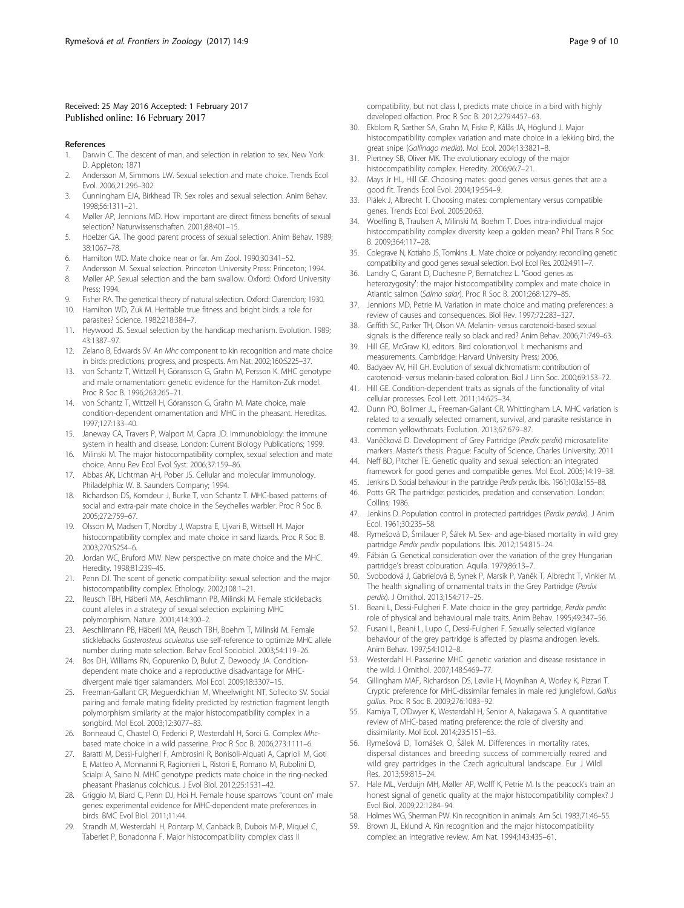## <span id="page-8-0"></span>Received: 25 May 2016 Accepted: 1 February 2017 Published online: 16 February 2017

#### References

- 1. Darwin C. The descent of man, and selection in relation to sex. New York: D. Appleton; 1871
- 2. Andersson M, Simmons LW. Sexual selection and mate choice. Trends Ecol Evol. 2006;21:296–302.
- 3. Cunningham EJA, Birkhead TR. Sex roles and sexual selection. Anim Behav. 1998;56:1311–21.
- 4. Møller AP, Jennions MD. How important are direct fitness benefits of sexual selection? Naturwissenschaften. 2001;88:401–15.
- 5. Hoelzer GA. The good parent process of sexual selection. Anim Behav. 1989; 38:1067–78.
- 6. Hamilton WD. Mate choice near or far. Am Zool. 1990;30:341–52.
- 7. Andersson M. Sexual selection. Princeton University Press: Princeton; 1994.
- 8. Møller AP. Sexual selection and the barn swallow. Oxford: Oxford University Press; 1994.
- 9. Fisher RA. The genetical theory of natural selection. Oxford: Clarendon; 1930. 10. Hamilton WD, Zuk M. Heritable true fitness and bright birds: a role for
- parasites? Science. 1982;218:384–7. 11. Heywood JS. Sexual selection by the handicap mechanism. Evolution. 1989;
- 43:1387–97.
- 12. Zelano B, Edwards SV. An Mhc component to kin recognition and mate choice in birds: predictions, progress, and prospects. Am Nat. 2002;160:S225–37.
- 13. von Schantz T, Wittzell H, Göransson G, Grahn M, Persson K. MHC genotype and male ornamentation: genetic evidence for the Hamilton-Zuk model. Proc R Soc B. 1996;263:265–71.
- 14. von Schantz T, Wittzell H, Göransson G, Grahn M. Mate choice, male condition-dependent ornamentation and MHC in the pheasant. Hereditas. 1997;127:133–40.
- 15. Janeway CA, Travers P, Walport M, Capra JD. Immunobiology: the immune system in health and disease. London: Current Biology Publications; 1999.
- 16. Milinski M. The major histocompatibility complex, sexual selection and mate choice. Annu Rev Ecol Evol Syst. 2006;37:159–86.
- 17. Abbas AK, Lichtman AH, Pober JS. Cellular and molecular immunology. Philadelphia: W. B. Saunders Company; 1994.
- 18. Richardson DS, Komdeur J, Burke T, von Schantz T. MHC-based patterns of social and extra-pair mate choice in the Seychelles warbler. Proc R Soc B. 2005;272:759–67.
- 19. Olsson M, Madsen T, Nordby J, Wapstra E, Ujvari B, Wittsell H. Major histocompatibility complex and mate choice in sand lizards. Proc R Soc B. 2003;270:S254–6.
- 20. Jordan WC, Bruford MW. New perspective on mate choice and the MHC. Heredity. 1998;81:239–45.
- 21. Penn DJ. The scent of genetic compatibility: sexual selection and the major histocompatibility complex. Ethology. 2002;108:1–21.
- 22. Reusch TBH, Häberli MA, Aeschlimann PB, Milinski M. Female sticklebacks count alleles in a strategy of sexual selection explaining MHC polymorphism. Nature. 2001;414:300–2.
- 23. Aeschlimann PB, Häberli MA, Reusch TBH, Boehm T, Milinski M. Female sticklebacks Gasterosteus aculeatus use self-reference to optimize MHC allele number during mate selection. Behav Ecol Sociobiol. 2003;54:119–26.
- 24. Bos DH, Williams RN, Gopurenko D, Bulut Z, Dewoody JA. Conditiondependent mate choice and a reproductive disadvantage for MHCdivergent male tiger salamanders. Mol Ecol. 2009;18:3307–15.
- 25. Freeman-Gallant CR, Meguerdichian M, Wheelwright NT, Sollecito SV. Social pairing and female mating fidelity predicted by restriction fragment length polymorphism similarity at the major histocompatibility complex in a songbird. Mol Ecol. 2003;12:3077–83.
- 26. Bonneaud C, Chastel O, Federici P, Westerdahl H, Sorci G. Complex Mhcbased mate choice in a wild passerine. Proc R Soc B. 2006;273:1111–6.
- 27. Baratti M, Dessì-Fulgheri F, Ambrosini R, Bonisoli-Alquati A, Caprioli M, Goti E, Matteo A, Monnanni R, Ragionieri L, Ristori E, Romano M, Rubolini D, Scialpi A, Saino N. MHC genotype predicts mate choice in the ring-necked pheasant Phasianus colchicus. J Evol Biol. 2012;25:1531–42.
- 28. Griggio M, Biard C, Penn DJ, Hoi H. Female house sparrows "count on" male genes: experimental evidence for MHC-dependent mate preferences in birds. BMC Evol Biol. 2011;11:44.
- 29. Strandh M, Westerdahl H, Pontarp M, Canbäck B, Dubois M-P, Miquel C, Taberlet P, Bonadonna F. Major histocompatibility complex class II

compatibility, but not class I, predicts mate choice in a bird with highly developed olfaction. Proc R Soc B. 2012;279:4457–63.

- 30. Ekblom R, Sæther SA, Grahn M, Fiske P, Kålås JA, Höglund J. Major histocompatibility complex variation and mate choice in a lekking bird, the great snipe (Gallinago media). Mol Ecol. 2004;13:3821–8.
- 31. Piertney SB, Oliver MK. The evolutionary ecology of the major histocompatibility complex. Heredity. 2006;96:7–21.
- 32. Mays Jr HL, Hill GE. Choosing mates: good genes versus genes that are a good fit. Trends Ecol Evol. 2004;19:554–9.
- 33. Piálek J, Albrecht T. Choosing mates: complementary versus compatible genes. Trends Ecol Evol. 2005;20:63.
- 34. Woelfing B, Traulsen A, Milinski M, Boehm T. Does intra-individual major histocompatibility complex diversity keep a golden mean? Phil Trans R Soc B. 2009;364:117–28.
- 35. Colegrave N, Kotiaho JS, Tomkins JL. Mate choice or polyandry: reconciling genetic compatibility and good genes sexual selection. Evol Ecol Res. 2002;4:911–7.
- 36. Landry C, Garant D, Duchesne P, Bernatchez L. ʻGood genes as heterozygosity': the major histocompatibility complex and mate choice in Atlantic salmon (Salmo salar). Proc R Soc B. 2001;268:1279–85.
- 37. Jennions MD, Petrie M. Variation in mate choice and mating preferences: a review of causes and consequences. Biol Rev. 1997;72:283–327.
- 38. Griffith SC, Parker TH, Olson VA. Melanin- versus carotenoid-based sexual signals: is the difference really so black and red? Anim Behav. 2006;71:749–63.
- 39. Hill GE, McGraw KJ, editors. Bird coloration,vol. I: mechanisms and measurements. Cambridge: Harvard University Press; 2006.
- 40. Badyaev AV, Hill GH. Evolution of sexual dichromatism: contribution of carotenoid- versus melanin-based coloration. Biol J Linn Soc. 2000;69:153–72.
- 41. Hill GE. Condition-dependent traits as signals of the functionality of vital cellular processes. Ecol Lett. 2011;14:625–34.
- 42. Dunn PO, Bollmer JL, Freeman-Gallant CR, Whittingham LA. MHC variation is related to a sexually selected ornament, survival, and parasite resistance in common yellowthroats. Evolution. 2013;67:679–87.
- 43. Vaněčková D. Development of Grey Partridge (Perdix perdix) microsatellite markers. Master's thesis. Prague: Faculty of Science, Charles University; 2011
- 44. Neff BD, Pitcher TE. Genetic quality and sexual selection: an integrated framework for good genes and compatible genes. Mol Ecol. 2005;14:19–38.
- 45. Jenkins D. Social behaviour in the partridge Perdix perdix. Ibis. 1961;103a:155-88.
- 46. Potts GR. The partridge: pesticides, predation and conservation. London: Collins; 1986.
- 47. Jenkins D. Population control in protected partridges (Perdix perdix). J Anim Ecol. 1961;30:235–58.
- 48. Rymešová D, Šmilauer P, Šálek M. Sex- and age-biased mortality in wild grey partridge Perdix perdix populations. Ibis. 2012;154:815–24.
- 49. Fábián G. Genetical consideration over the variation of the grey Hungarian partridge's breast colouration. Aquila. 1979;86:13–7.
- 50. Svobodová J, Gabrielová B, Synek P, Marsik P, Vaněk T, Albrecht T, Vinkler M. The health signalling of ornamental traits in the Grey Partridge (Perdix perdix). J Ornithol. 2013;154:717–25.
- 51. Beani L, Dessì-Fulgheri F. Mate choice in the grey partridge, Perdix perdix: role of physical and behavioural male traits. Anim Behav. 1995;49:347–56.
- 52. Fusani L, Beani L, Lupo C, Dessì-Fulgheri F. Sexually selected vigilance behaviour of the grey partridge is affected by plasma androgen levels. Anim Behav. 1997;54:1012–8.
- 53. Westerdahl H. Passerine MHC: genetic variation and disease resistance in the wild. J Ornithol. 2007;148:S469–77.
- 54. Gillingham MAF, Richardson DS, Løvlie H, Moynihan A, Worley K, Pizzari T. Cryptic preference for MHC-dissimilar females in male red junglefowl, Gallus gallus. Proc R Soc B. 2009;276:1083-92.
- 55. Kamiya T, O'Dwyer K, Westerdahl H, Senior A, Nakagawa S. A quantitative review of MHC-based mating preference: the role of diversity and dissimilarity. Mol Ecol. 2014;23:5151–63.
- 56. Rymešová D, Tomášek O, Šálek M. Differences in mortality rates, dispersal distances and breeding success of commercially reared and wild grey partridges in the Czech agricultural landscape. Eur J Wildl Res. 2013;59:815–24.
- 57. Hale ML, Verduijn MH, Møller AP, Wolff K, Petrie M. Is the peacock's train an honest signal of genetic quality at the major histocompatibility complex? J Evol Biol. 2009;22:1284–94.
- 58. Holmes WG, Sherman PW. Kin recognition in animals. Am Sci. 1983;71:46–55.
- 59. Brown JL, Eklund A. Kin recognition and the major histocompatibility complex: an integrative review. Am Nat. 1994;143:435–61.